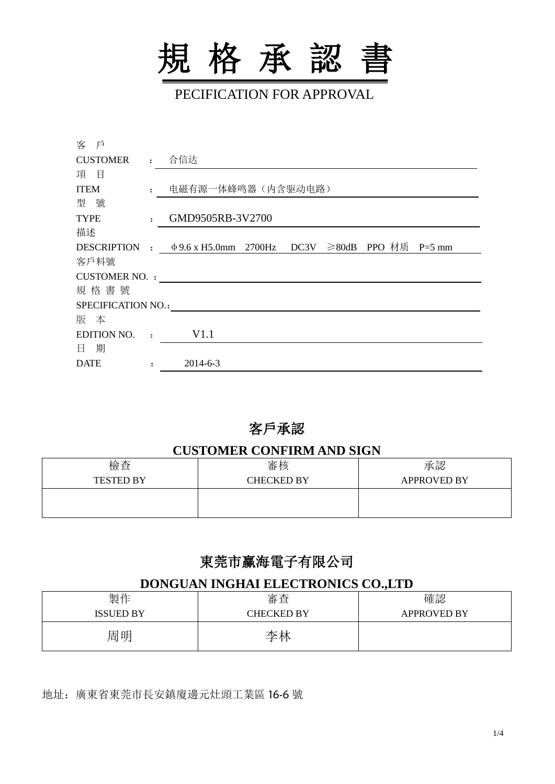

PECIFICATION FOR APPROVAL

| 客 戶                       |                          |                                                             |  |  |  |  |  |
|---------------------------|--------------------------|-------------------------------------------------------------|--|--|--|--|--|
| <b>CUSTOMER</b>           | $\mathbf{r}$             | 合信达                                                         |  |  |  |  |  |
| 項目                        |                          |                                                             |  |  |  |  |  |
| <b>ITEM</b>               | $\mathbf{r}$             | 电磁有源一体蜂鸣器(内含驱动电路)                                           |  |  |  |  |  |
| 型號                        |                          |                                                             |  |  |  |  |  |
| <b>TYPE</b>               | $\ddot{\phantom{a}}$     | GMD9505RB-3V2700                                            |  |  |  |  |  |
| 描述                        |                          |                                                             |  |  |  |  |  |
|                           |                          | DESCRIPTION : ↓9.6 x H5.0mm 2700Hz DC3V ≥80dB PPO 材质 P=5 mm |  |  |  |  |  |
| 客戶料號                      |                          |                                                             |  |  |  |  |  |
| <b>CUSTOMER NO. :</b>     |                          |                                                             |  |  |  |  |  |
| 規格書號                      |                          |                                                             |  |  |  |  |  |
| <b>SPECIFICATION NO.:</b> |                          |                                                             |  |  |  |  |  |
| 版 本                       |                          |                                                             |  |  |  |  |  |
| <b>EDITION NO.</b>        | $\sim 1000$ km s $^{-1}$ | V1.1                                                        |  |  |  |  |  |
| 期<br>$\mathbf{H}$         |                          |                                                             |  |  |  |  |  |
| <b>DATE</b>               |                          | $2014 - 6 - 3$                                              |  |  |  |  |  |

### 客戶承認

### **CUSTOMER CONFIRM AND SIGN**

| 檢查               | 審核                | 承認                 |
|------------------|-------------------|--------------------|
| <b>TESTED BY</b> | <b>CHECKED BY</b> | <b>APPROVED BY</b> |
|                  |                   |                    |
|                  |                   |                    |

# 東莞市赢海電子有限公司

### **DONGUAN INGHAI ELECTRONICS CO.,LTD**

| 製作<br><b>ISSUED BY</b> | 審<br>查<br><b>CHECKED BY</b> | 確認<br><b>APPROVED BY</b> |
|------------------------|-----------------------------|--------------------------|
| 周明                     | 李林                          |                          |

地址:廣東省東莞市長安鎮廈邊元灶頭工業區 16-6 號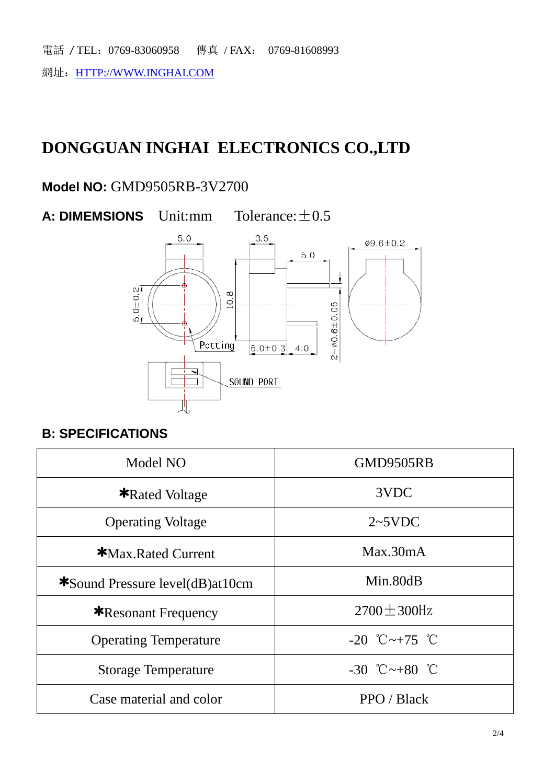電話 / TEL: 0769-83060958 傳真 / FAX: 0769-81608993 網址: [HTTP://WWW.INGHAI.COM](http://www.inghai.com/)

# **DONGGUAN INGHAI ELECTRONICS CO.,LTD**

### **Model NO:** GMD9505RB-3V2700

**A: DIMEMSIONS** Unit:mm Tolerance:  $\pm 0.5$ 



### **B: SPECIFICATIONS**

| Model NO                        | GMD9505RB              |  |  |
|---------------------------------|------------------------|--|--|
| <b>*Rated Voltage</b>           | 3VDC                   |  |  |
| <b>Operating Voltage</b>        | $2 \sim 5$ VDC         |  |  |
| <b>*Max.Rated Current</b>       | Max.30mA               |  |  |
| *Sound Pressure level(dB)at10cm | Min.80dB               |  |  |
| <b>*</b> Resonant Frequency     | $2700 \pm 300$ Hz      |  |  |
| <b>Operating Temperature</b>    | $-20$ °C $\sim +75$ °C |  |  |
| <b>Storage Temperature</b>      | $-30$ °C $\sim +80$ °C |  |  |
| Case material and color         | PPO / Black            |  |  |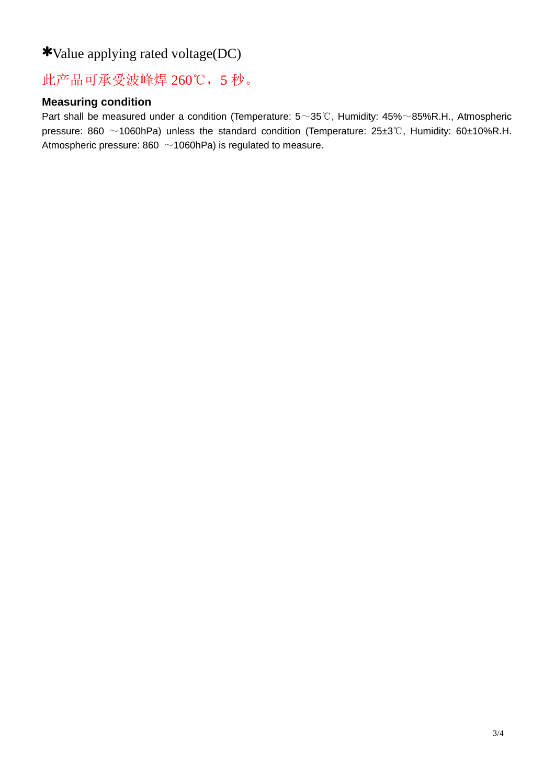# \*Value applying rated voltage(DC)

# 此产品可承受波峰焊 260℃,5 秒。

#### **Measuring condition**

Part shall be measured under a condition (Temperature: 5~35℃, Humidity: 45%~85%R.H., Atmospheric pressure: 860 ~1060hPa) unless the standard condition (Temperature: 25±3℃, Humidity: 60±10%R.H. Atmospheric pressure:  $860 \sim 1060$ hPa) is regulated to measure.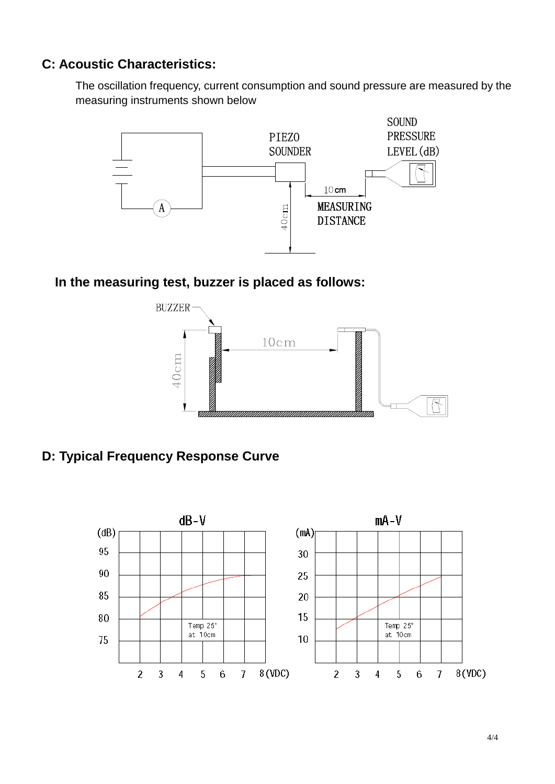### **C: Acoustic Characteristics:**

The oscillation frequency, current consumption and sound pressure are measured by the measuring instruments shown below



**In the measuring test, buzzer is placed as follows:**



### **D: Typical Frequency Response Curve**